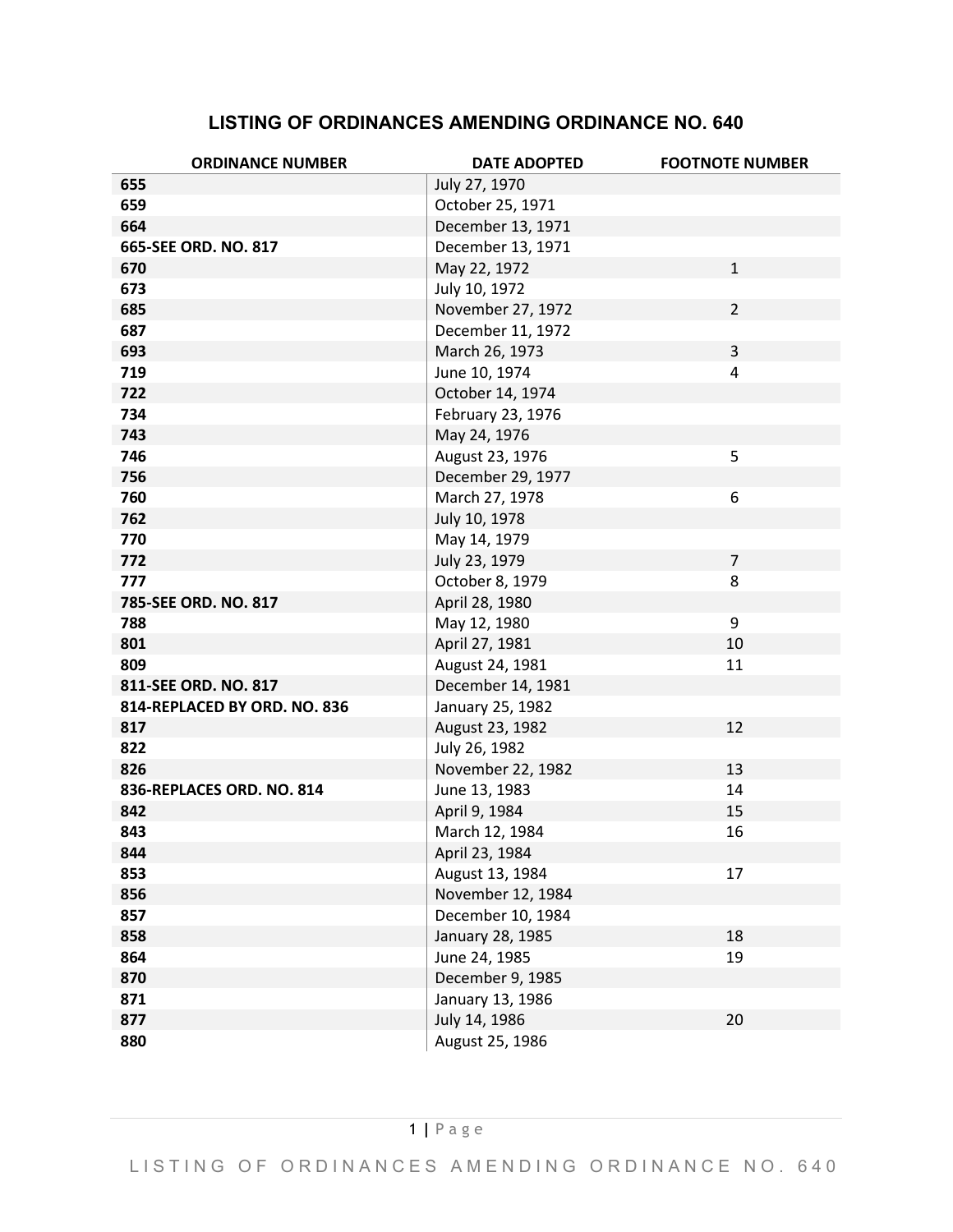## **LISTING OF ORDINANCES AMENDING ORDINANCE NO. 640**

| <b>ORDINANCE NUMBER</b>      | <b>DATE ADOPTED</b> | <b>FOOTNOTE NUMBER</b> |
|------------------------------|---------------------|------------------------|
| 655                          | July 27, 1970       |                        |
| 659                          | October 25, 1971    |                        |
| 664                          | December 13, 1971   |                        |
| 665-SEE ORD. NO. 817         | December 13, 1971   |                        |
| 670                          | May 22, 1972        | $\mathbf{1}$           |
| 673                          | July 10, 1972       |                        |
| 685                          | November 27, 1972   | $\overline{2}$         |
| 687                          | December 11, 1972   |                        |
| 693                          | March 26, 1973      | 3                      |
| 719                          | June 10, 1974       | 4                      |
| 722                          | October 14, 1974    |                        |
| 734                          | February 23, 1976   |                        |
| 743                          | May 24, 1976        |                        |
| 746                          | August 23, 1976     | 5                      |
| 756                          | December 29, 1977   |                        |
| 760                          | March 27, 1978      | 6                      |
| 762                          | July 10, 1978       |                        |
| 770                          | May 14, 1979        |                        |
| 772                          | July 23, 1979       | $\overline{7}$         |
| 777                          | October 8, 1979     | 8                      |
| 785-SEE ORD. NO. 817         | April 28, 1980      |                        |
| 788                          | May 12, 1980        | 9                      |
| 801                          | April 27, 1981      | 10                     |
| 809                          | August 24, 1981     | 11                     |
| 811-SEE ORD. NO. 817         | December 14, 1981   |                        |
| 814-REPLACED BY ORD. NO. 836 | January 25, 1982    |                        |
| 817                          | August 23, 1982     | 12                     |
| 822                          | July 26, 1982       |                        |
| 826                          | November 22, 1982   | 13                     |
| 836-REPLACES ORD. NO. 814    | June 13, 1983       | 14                     |
| 842                          | April 9, 1984       | 15                     |
| 843                          | March 12, 1984      | 16                     |
| 844                          | April 23, 1984      |                        |
| 853                          | August 13, 1984     | 17                     |
| 856                          | November 12, 1984   |                        |
| 857                          | December 10, 1984   |                        |
| 858                          | January 28, 1985    | 18                     |
| 864                          | June 24, 1985       | 19                     |
| 870                          | December 9, 1985    |                        |
| 871                          | January 13, 1986    |                        |
| 877                          | July 14, 1986       | 20                     |
| 880                          | August 25, 1986     |                        |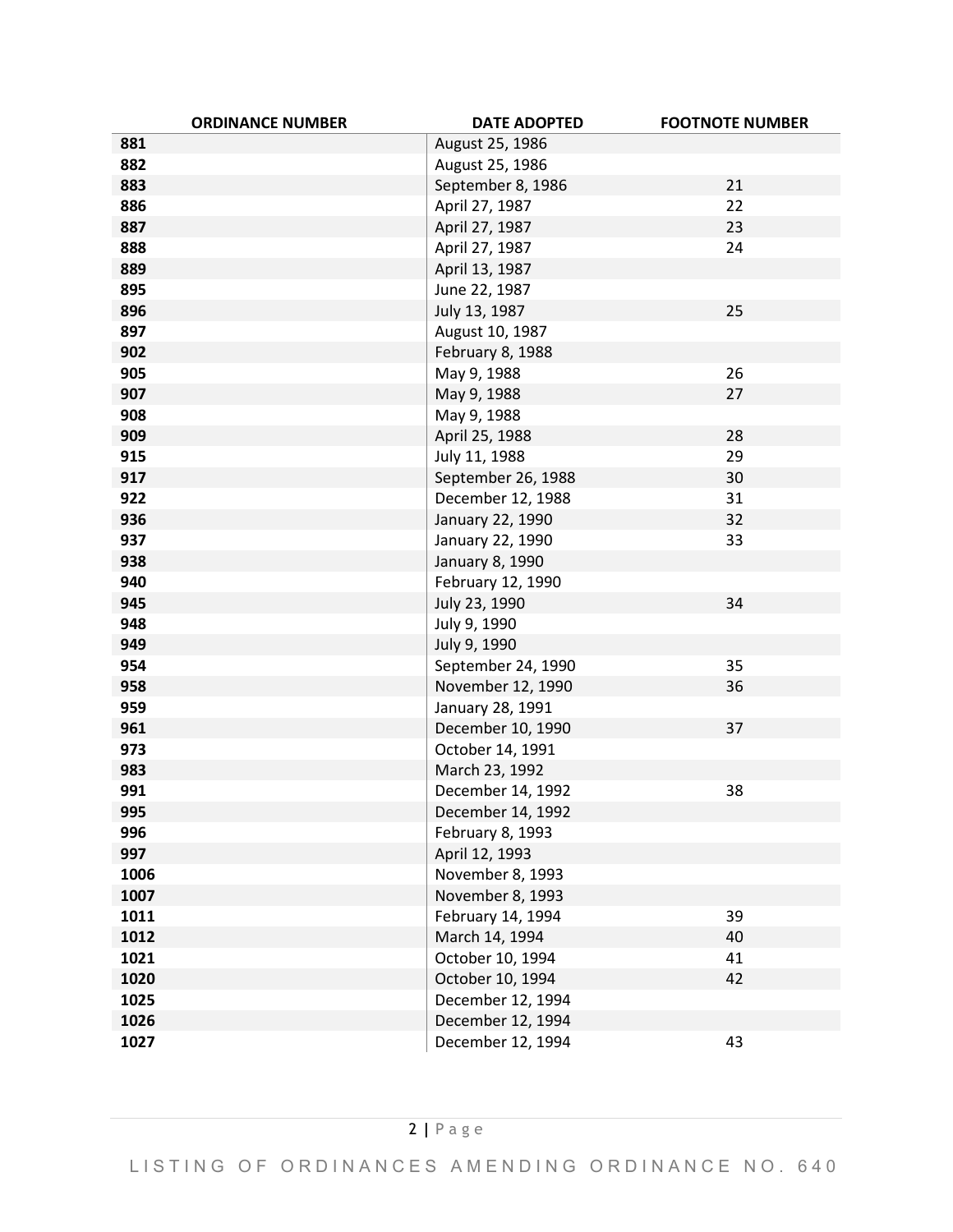| <b>ORDINANCE NUMBER</b> | <b>DATE ADOPTED</b> | <b>FOOTNOTE NUMBER</b> |
|-------------------------|---------------------|------------------------|
| 881                     | August 25, 1986     |                        |
| 882                     | August 25, 1986     |                        |
| 883                     | September 8, 1986   | 21                     |
| 886                     | April 27, 1987      | 22                     |
| 887                     | April 27, 1987      | 23                     |
| 888                     | April 27, 1987      | 24                     |
| 889                     | April 13, 1987      |                        |
| 895                     | June 22, 1987       |                        |
| 896                     | July 13, 1987       | 25                     |
| 897                     | August 10, 1987     |                        |
| 902                     | February 8, 1988    |                        |
| 905                     | May 9, 1988         | 26                     |
| 907                     | May 9, 1988         | 27                     |
| 908                     | May 9, 1988         |                        |
| 909                     | April 25, 1988      | 28                     |
| 915                     | July 11, 1988       | 29                     |
| 917                     | September 26, 1988  | 30                     |
| 922                     | December 12, 1988   | 31                     |
| 936                     | January 22, 1990    | 32                     |
| 937                     | January 22, 1990    | 33                     |
| 938                     | January 8, 1990     |                        |
| 940                     | February 12, 1990   |                        |
| 945                     | July 23, 1990       | 34                     |
| 948                     | July 9, 1990        |                        |
| 949                     | July 9, 1990        |                        |
| 954                     | September 24, 1990  | 35                     |
| 958                     | November 12, 1990   | 36                     |
| 959                     | January 28, 1991    |                        |
| 961                     | December 10, 1990   | 37                     |
| 973                     | October 14, 1991    |                        |
| 983                     | March 23, 1992      |                        |
| 991                     | December 14, 1992   | 38                     |
| 995                     | December 14, 1992   |                        |
| 996                     | February 8, 1993    |                        |
| 997                     | April 12, 1993      |                        |
| 1006                    | November 8, 1993    |                        |
| 1007                    | November 8, 1993    |                        |
| 1011                    | February 14, 1994   | 39                     |
| 1012                    | March 14, 1994      | 40                     |
| 1021                    | October 10, 1994    | 41                     |
| 1020                    | October 10, 1994    | 42                     |
| 1025                    | December 12, 1994   |                        |
| 1026                    | December 12, 1994   |                        |
| 1027                    | December 12, 1994   | 43                     |

LISTING OF ORDINANCES AMENDING ORDINANCE NO. 640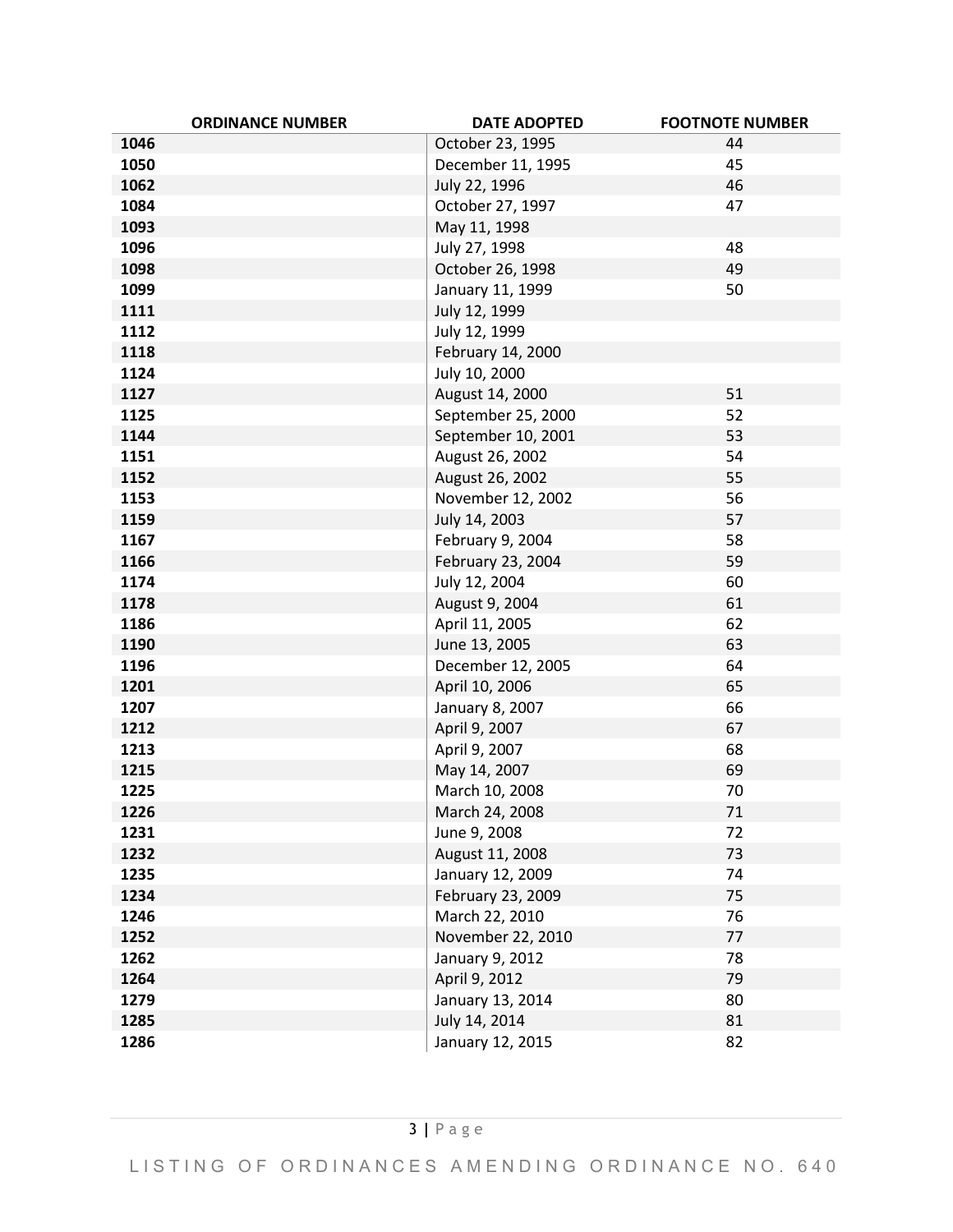| <b>ORDINANCE NUMBER</b> | <b>DATE ADOPTED</b> | <b>FOOTNOTE NUMBER</b> |
|-------------------------|---------------------|------------------------|
| 1046                    | October 23, 1995    | 44                     |
| 1050                    | December 11, 1995   | 45                     |
| 1062                    | July 22, 1996       | 46                     |
| 1084                    | October 27, 1997    | 47                     |
| 1093                    | May 11, 1998        |                        |
| 1096                    | July 27, 1998       | 48                     |
| 1098                    | October 26, 1998    | 49                     |
| 1099                    | January 11, 1999    | 50                     |
| 1111                    | July 12, 1999       |                        |
| 1112                    | July 12, 1999       |                        |
| 1118                    | February 14, 2000   |                        |
| 1124                    | July 10, 2000       |                        |
| 1127                    | August 14, 2000     | 51                     |
| 1125                    | September 25, 2000  | 52                     |
| 1144                    | September 10, 2001  | 53                     |
| 1151                    | August 26, 2002     | 54                     |
| 1152                    | August 26, 2002     | 55                     |
| 1153                    | November 12, 2002   | 56                     |
| 1159                    | July 14, 2003       | 57                     |
| 1167                    | February 9, 2004    | 58                     |
| 1166                    | February 23, 2004   | 59                     |
| 1174                    | July 12, 2004       | 60                     |
| 1178                    | August 9, 2004      | 61                     |
| 1186                    | April 11, 2005      | 62                     |
| 1190                    | June 13, 2005       | 63                     |
| 1196                    | December 12, 2005   | 64                     |
| 1201                    | April 10, 2006      | 65                     |
| 1207                    | January 8, 2007     | 66                     |
| 1212                    | April 9, 2007       | 67                     |
| 1213                    | April 9, 2007       | 68                     |
| 1215                    | May 14, 2007        | 69                     |
| 1225                    | March 10, 2008      | 70                     |
| 1226                    | March 24, 2008      | $71\,$                 |
| 1231                    | June 9, 2008        | 72                     |
| 1232                    | August 11, 2008     | 73                     |
| 1235                    | January 12, 2009    | 74                     |
| 1234                    | February 23, 2009   | 75                     |
| 1246                    | March 22, 2010      | 76                     |
| 1252                    | November 22, 2010   | 77                     |
| 1262                    | January 9, 2012     | 78                     |
| 1264                    | April 9, 2012       | 79                     |
| 1279                    | January 13, 2014    | 80                     |
| 1285                    | July 14, 2014       | 81                     |
| 1286                    | January 12, 2015    | 82                     |